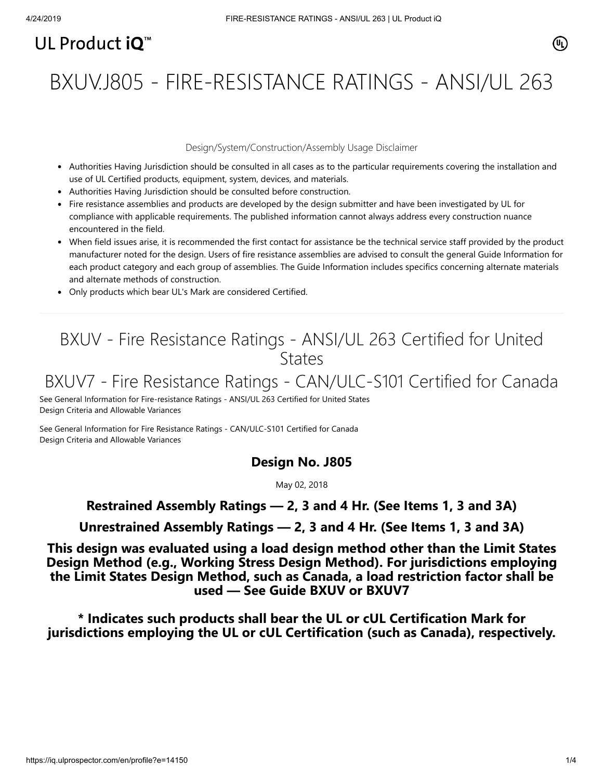# UL Product  $i\mathbf{O}^m$

BXUV.J805 - FIRE-RESISTANCE RATINGS - ANSI/UL 263

#### Design/System/Construction/Assembly Usage Disclaimer

- Authorities Having Jurisdiction should be consulted in all cases as to the particular requirements covering the installation and use of UL Certified products, equipment, system, devices, and materials.
- Authorities Having Jurisdiction should be consulted before construction.
- Fire resistance assemblies and products are developed by the design submitter and have been investigated by UL for compliance with applicable requirements. The published information cannot always address every construction nuance encountered in the field.
- When field issues arise, it is recommended the first contact for assistance be the technical service staff provided by the product manufacturer noted for the design. Users of fire resistance assemblies are advised to consult the general Guide Information for each product category and each group of assemblies. The Guide Information includes specifics concerning alternate materials and alternate methods of construction.
- Only products which bear UL's Mark are considered Certified.

## BXUV - Fire Resistance Ratings - ANSI/UL 263 Certified for United **States**

## BXUV7 - Fire Resistance Ratings - CAN/ULC-S101 Certified for Canada

[See General Information for Fire-resistance Ratings - ANSI/UL 263 Certified for United States](https://iq.ulprospector.com/cgi-bin/XYV/template/LISEXT/1FRAME/showpage.html?name=BXUV.GuideInfo&ccnshorttitle=Fire-resistance+Ratings+-+ANSI/UL+263&objid=1074327030&cfgid=1073741824&version=versionless&parent_id=1073984818&sequence=1) Design Criteria and Allowable Variances

[See General Information for Fire Resistance Ratings - CAN/ULC-S101 Certified for Canada](https://iq.ulprospector.com/cgi-bin/XYV/template/LISEXT/1FRAME/showpage.html?name=BXUV7.GuideInfo&ccnshorttitle=Fire+Resistance+Ratings+-+CAN/ULC-S101+Certified+for+Canada&objid=1074205658&cfgid=1073741824&version=versionless&parent_id=1073984820&sequence=1) Design Criteria and Allowable Variances

#### **Design No. J805**

May 02, 2018

### **Restrained Assembly Ratings — 2, 3 and 4 Hr. (See Items 1, 3 and 3A)**

**Unrestrained Assembly Ratings — 2, 3 and 4 Hr. (See Items 1, 3 and 3A)**

**This design was evaluated using a load design method other than the Limit States Design Method (e.g., Working Stress Design Method). For jurisdictions employing the Limit States Design Method, such as Canada, a load restriction factor shall be used — See Guide [BXUV](https://database.ul.com/cgi-bin/XYV/template/LISEXT/1FRAME/showpage.html?name=BXUV.GuideInfo&ccnshorttitle=Fire-resistance+Ratings+-+ANSI/UL+263&objid=1074327030&cfgid=1073741824&version=versionless&parent_id=1073984818&sequence=1) or [BXUV7](https://database.ul.com/cgi-bin/XYV/template/LISEXT/1FRAME/showpage.html?name=BXUV7.GuideInfo&ccnshorttitle=Fire+Resistance+Ratings+-+CAN/ULC-S101M+Certified+for+Canada&objid=1074205658&cfgid=1073741824&version=versionless&parent_id=1073984820&sequence=1)**

**\* Indicates such products shall bear the UL or cUL Certification Mark for jurisdictions employing the UL or cUL Certification (such as Canada), respectively.**

⁄ඔ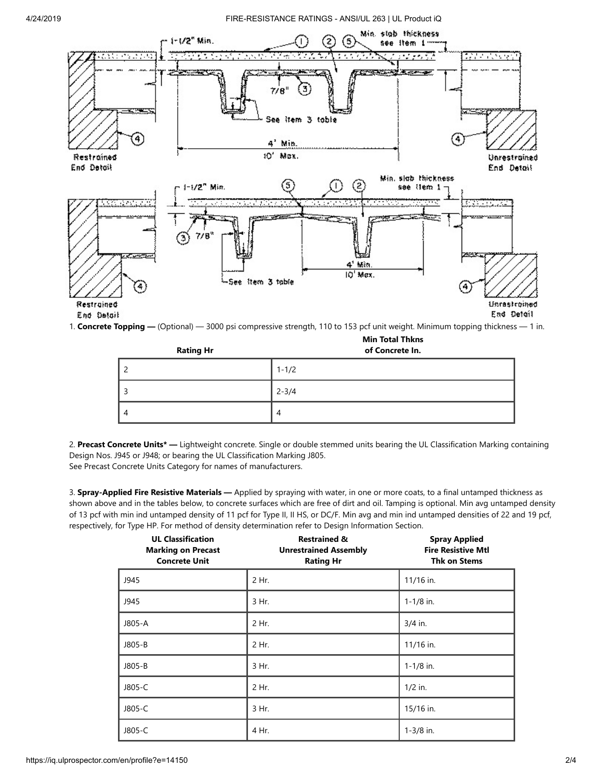#### 4/24/2019 FIRE-RESISTANCE RATINGS - ANSI/UL 263 | UL Product iQ



1. **Concrete Topping —** (Optional) — 3000 psi compressive strength, 110 to 153 pcf unit weight. Minimum topping thickness — 1 in.

| <b>Rating Hr</b> | of Concrete In. |  |
|------------------|-----------------|--|
| 2                | $1 - 1/2$       |  |
| 3                | $2 - 3/4$       |  |
| $\overline{4}$   | 4               |  |

**Min Total Thkns**

2. **Precast Concrete Units\* —** Lightweight concrete. Single or double stemmed units bearing the UL Classification Marking containing Design Nos. J945 or J948; or bearing the UL Classification Marking J805.

See Precast Concrete Units Category for names of manufacturers.

3. **Spray-Applied Fire Resistive Materials —** Applied by spraying with water, in one or more coats, to a final untamped thickness as shown above and in the tables below, to concrete surfaces which are free of dirt and oil. Tamping is optional. Min avg untamped density of 13 pcf with min ind untamped density of 11 pcf for Type II, II HS, or DC/F. Min avg and min ind untamped densities of 22 and 19 pcf, respectively, for Type HP. For method of density determination refer to Design Information Section.

| <b>UL Classification</b><br><b>Marking on Precast</b><br><b>Concrete Unit</b> | <b>Restrained &amp;</b><br><b>Unrestrained Assembly</b><br><b>Rating Hr</b> | <b>Spray Applied</b><br><b>Fire Resistive Mtl</b><br><b>Thk on Stems</b> |
|-------------------------------------------------------------------------------|-----------------------------------------------------------------------------|--------------------------------------------------------------------------|
| J945                                                                          | 2 Hr.                                                                       | 11/16 in.                                                                |
| J945                                                                          | 3 Hr.                                                                       | $1 - 1/8$ in.                                                            |
| J805-A                                                                        | 2 Hr.                                                                       | $3/4$ in.                                                                |
| J805-B                                                                        | 2 Hr.                                                                       | 11/16 in.                                                                |
| J805-B                                                                        | 3 Hr.                                                                       | $1 - 1/8$ in.                                                            |
| J805-C                                                                        | 2 Hr.                                                                       | $1/2$ in.                                                                |
| J805-C                                                                        | 3 Hr.                                                                       | 15/16 in.                                                                |
| J805-C                                                                        | 4 Hr.                                                                       | $1 - 3/8$ in.                                                            |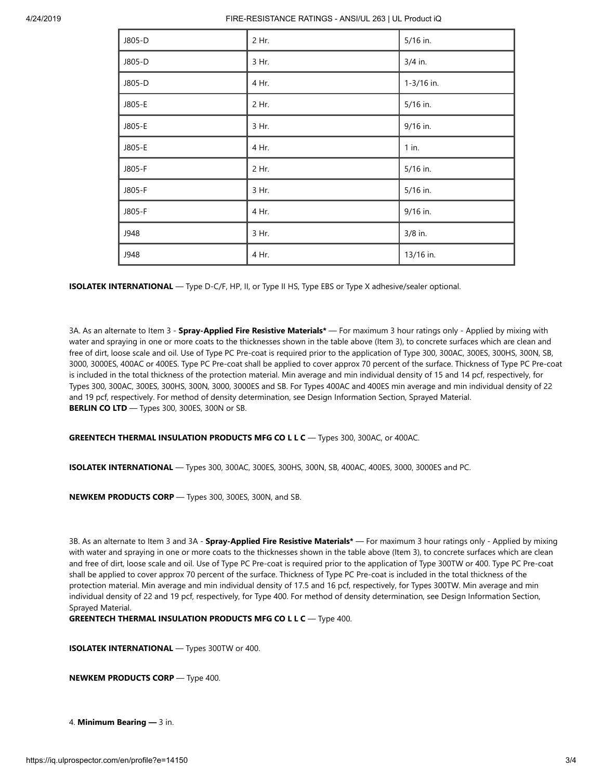| J805-D | 2 Hr. | 5/16 in.   |
|--------|-------|------------|
| J805-D | 3 Hr. | $3/4$ in.  |
| J805-D | 4 Hr. | 1-3/16 in. |
| J805-E | 2 Hr. | 5/16 in.   |
| J805-E | 3 Hr. | 9/16 in.   |
| J805-E | 4 Hr. | $1$ in.    |
| J805-F | 2 Hr. | 5/16 in.   |
| J805-F | 3 Hr. | 5/16 in.   |
| J805-F | 4 Hr. | 9/16 in.   |
| J948   | 3 Hr. | 3/8 in.    |
| J948   | 4 Hr. | 13/16 in.  |

**ISOLATEK INTERNATIONAL** — Type D-C/F, HP, II, or Type II HS, Type EBS or Type X adhesive/sealer optional.

3A. As an alternate to Item 3 - **Spray-Applied Fire Resistive Materials\*** — For maximum 3 hour ratings only - Applied by mixing with water and spraying in one or more coats to the thicknesses shown in the table above (Item 3), to concrete surfaces which are clean and free of dirt, loose scale and oil. Use of Type PC Pre-coat is required prior to the application of Type 300, 300AC, 300ES, 300HS, 300N, SB, 3000, 3000ES, 400AC or 400ES. Type PC Pre-coat shall be applied to cover approx 70 percent of the surface. Thickness of Type PC Pre-coat is included in the total thickness of the protection material. Min average and min individual density of 15 and 14 pcf, respectively, for Types 300, 300AC, 300ES, 300HS, 300N, 3000, 3000ES and SB. For Types 400AC and 400ES min average and min individual density of 22 and 19 pcf, respectively. For method of density determination, see Design Information Section, Sprayed Material. **BERLIN CO LTD** — Types 300, 300ES, 300N or SB.

**GREENTECH THERMAL INSULATION PRODUCTS MFG CO L L C** — Types 300, 300AC, or 400AC.

**ISOLATEK INTERNATIONAL** — Types 300, 300AC, 300ES, 300HS, 300N, SB, 400AC, 400ES, 3000, 3000ES and PC.

**NEWKEM PRODUCTS CORP** — Types 300, 300ES, 300N, and SB.

3B. As an alternate to Item 3 and 3A - **Spray-Applied Fire Resistive Materials\*** — For maximum 3 hour ratings only - Applied by mixing with water and spraying in one or more coats to the thicknesses shown in the table above (Item 3), to concrete surfaces which are clean and free of dirt, loose scale and oil. Use of Type PC Pre-coat is required prior to the application of Type 300TW or 400. Type PC Pre-coat shall be applied to cover approx 70 percent of the surface. Thickness of Type PC Pre-coat is included in the total thickness of the protection material. Min average and min individual density of 17.5 and 16 pcf, respectively, for Types 300TW. Min average and min individual density of 22 and 19 pcf, respectively, for Type 400. For method of density determination, see Design Information Section, Sprayed Material.

**GREENTECH THERMAL INSULATION PRODUCTS MFG CO L L C** — Type 400.

**ISOLATEK INTERNATIONAL** — Types 300TW or 400.

**NEWKEM PRODUCTS CORP** — Type 400.

4. **Minimum Bearing —** 3 in.